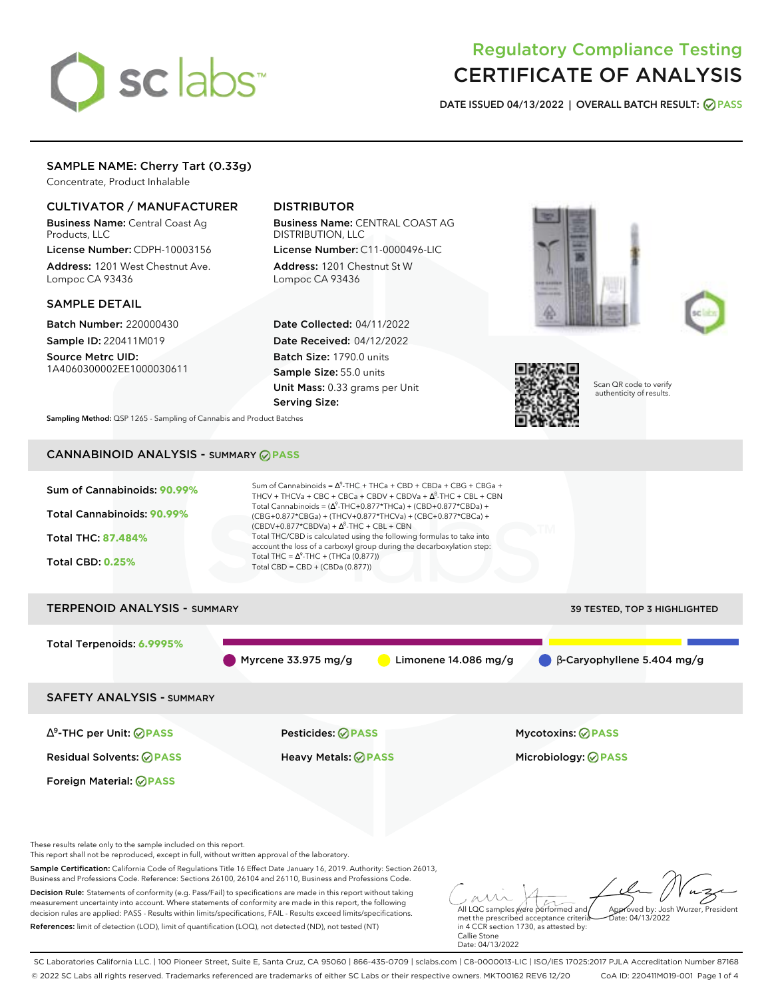# sclabs

# Regulatory Compliance Testing CERTIFICATE OF ANALYSIS

**DATE ISSUED 04/13/2022 | OVERALL BATCH RESULT: PASS**

# SAMPLE NAME: Cherry Tart (0.33g)

Concentrate, Product Inhalable

# CULTIVATOR / MANUFACTURER

Business Name: Central Coast Ag Products, LLC

License Number: CDPH-10003156 Address: 1201 West Chestnut Ave. Lompoc CA 93436

# SAMPLE DETAIL

Batch Number: 220000430 Sample ID: 220411M019

Source Metrc UID: 1A4060300002EE1000030611

# DISTRIBUTOR

Business Name: CENTRAL COAST AG DISTRIBUTION, LLC License Number: C11-0000496-LIC

Address: 1201 Chestnut St W Lompoc CA 93436

Date Collected: 04/11/2022 Date Received: 04/12/2022 Batch Size: 1790.0 units Sample Size: 55.0 units Unit Mass: 0.33 grams per Unit Serving Size:







Scan QR code to verify authenticity of results.

**Sampling Method:** QSP 1265 - Sampling of Cannabis and Product Batches

# CANNABINOID ANALYSIS - SUMMARY **PASS**



SC Laboratories California LLC. | 100 Pioneer Street, Suite E, Santa Cruz, CA 95060 | 866-435-0709 | sclabs.com | C8-0000013-LIC | ISO/IES 17025:2017 PJLA Accreditation Number 87168 © 2022 SC Labs all rights reserved. Trademarks referenced are trademarks of either SC Labs or their respective owners. MKT00162 REV6 12/20 CoA ID: 220411M019-001 Page 1 of 4